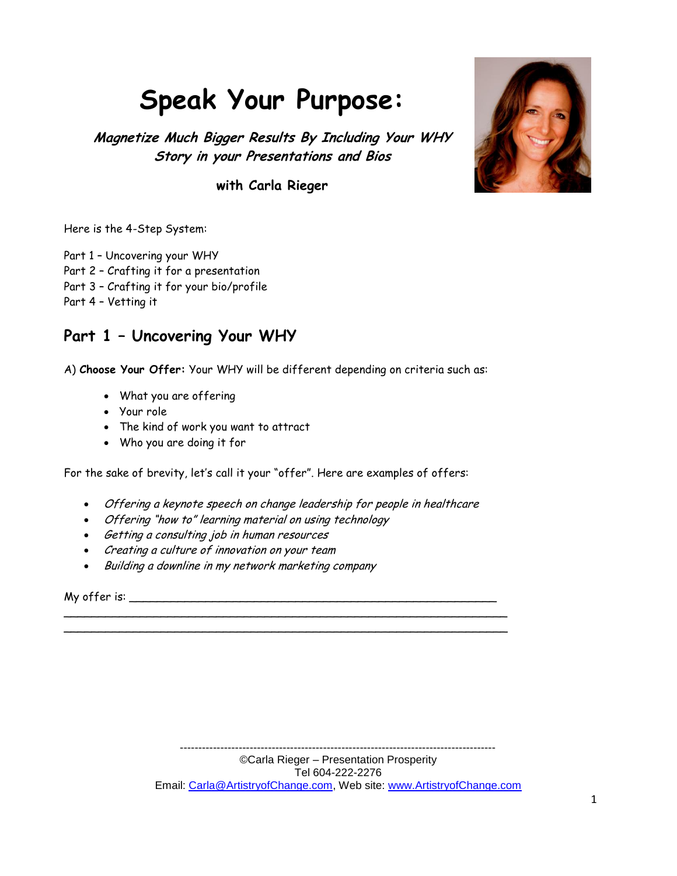# **Speak Your Purpose:**

**Magnetize Much Bigger Results By Including Your WHY Story in your Presentations and Bios**

**with Carla Rieger**



Here is the 4-Step System:

Part 1 – Uncovering your WHY

- Part 2 Crafting it for a presentation
- Part 3 Crafting it for your bio/profile

Part 4 – Vetting it

# **Part 1 – Uncovering Your WHY**

A) **Choose Your Offer:** Your WHY will be different depending on criteria such as:

- What you are offering
- Your role
- The kind of work you want to attract
- Who you are doing it for

For the sake of brevity, let's call it your "offer". Here are examples of offers:

Offering a keynote speech on change leadership for people in healthcare

\_\_\_\_\_\_\_\_\_\_\_\_\_\_\_\_\_\_\_\_\_\_\_\_\_\_\_\_\_\_\_\_\_\_\_\_\_\_\_\_\_\_\_\_\_\_\_\_\_\_\_\_\_\_\_\_\_\_\_\_\_\_\_\_ \_\_\_\_\_\_\_\_\_\_\_\_\_\_\_\_\_\_\_\_\_\_\_\_\_\_\_\_\_\_\_\_\_\_\_\_\_\_\_\_\_\_\_\_\_\_\_\_\_\_\_\_\_\_\_\_\_\_\_\_\_\_\_\_

- Offering "how to" learning material on using technology
- Getting a consulting job in human resources
- Creating a culture of innovation on your team
- Building a downline in my network marketing company

My offer is: \_\_\_\_\_\_\_\_\_\_\_\_\_\_\_\_\_\_\_\_\_\_\_\_\_\_\_\_\_\_\_\_\_\_\_\_\_\_\_\_\_\_\_\_\_\_\_\_\_\_\_\_\_

--------------------------------------------------------------------------------------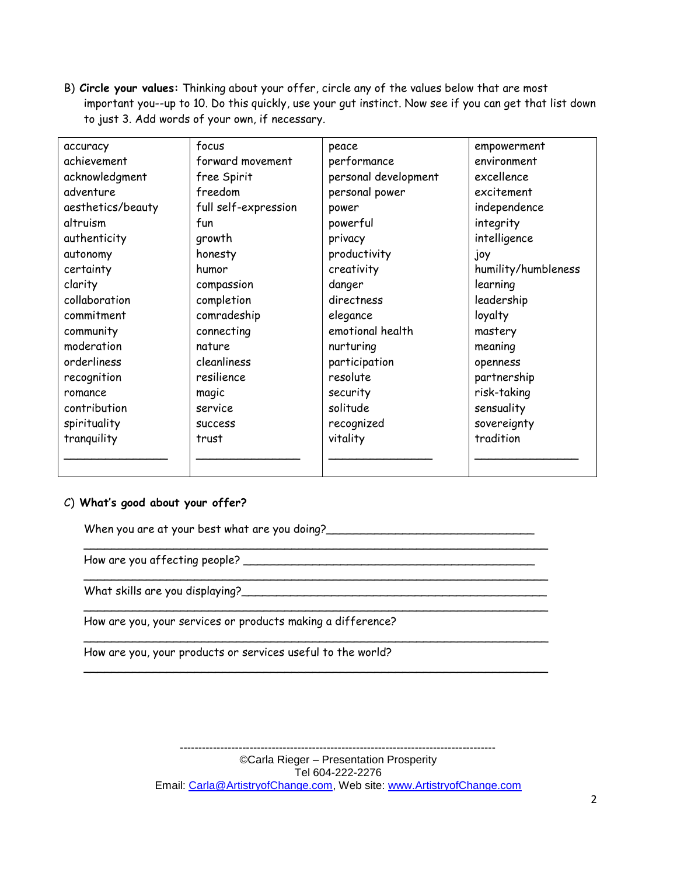B) **Circle your values:** Thinking about your offer, circle any of the values below that are most important you--up to 10. Do this quickly, use your gut instinct. Now see if you can get that list down to just 3. Add words of your own, if necessary.

| accuracy          | focus                | peace                | empowerment         |
|-------------------|----------------------|----------------------|---------------------|
| achievement       | forward movement     | performance          | environment         |
| acknowledgment    | free Spirit          | personal development | excellence          |
| adventure         | freedom              | personal power       | excitement          |
| aesthetics/beauty | full self-expression | power                | independence        |
| altruism          | fun                  | powerful             | integrity           |
| authenticity      | growth               | privacy              | intelligence        |
| autonomy          | honesty              | productivity         | joy                 |
| certainty         | humor                | creativity           | humility/humbleness |
| clarity           | compassion           | danger               | learning            |
| collaboration     | completion           | directness           | leadership          |
| commitment        | comradeship          | elegance             | loyalty             |
| community         | connecting           | emotional health     | mastery             |
| moderation        | nature               | nurturing            | meaning             |
| orderliness       | cleanliness          | participation        | openness            |
| recognition       | resilience           | resolute             | partnership         |
| romance           | magic                | security             | risk-taking         |
| contribution      | service              | solitude             | sensuality          |
| spirituality      | <b>SUCCESS</b>       | recognized           | sovereignty         |
| tranquility       | trust                |                      | tradition           |
|                   |                      |                      |                     |
|                   |                      |                      |                     |

### C) **What's good about your offer?**

When you are at your best what are you doing?\_\_\_\_\_\_\_\_\_\_\_\_\_\_\_\_\_\_\_\_\_\_\_\_\_\_\_\_\_\_

How are you affecting people? \_\_\_\_\_\_\_\_\_\_\_\_\_\_\_\_\_\_\_\_\_\_\_\_\_\_\_\_\_\_\_\_\_\_\_\_\_\_\_\_\_\_

What skills are you displaying?\_\_\_\_\_\_\_\_\_\_\_\_\_\_\_\_\_\_\_\_\_\_\_\_\_\_\_\_\_\_\_\_\_\_\_\_\_\_\_\_\_\_\_\_

How are you, your services or products making a difference?

How are you, your products or services useful to the world?

©Carla Rieger – Presentation Prosperity Tel 604-222-2276 Email: Carla@ArtistryofChange.com, Web site: www.ArtistryofChange.com

\_\_\_\_\_\_\_\_\_\_\_\_\_\_\_\_\_\_\_\_\_\_\_\_\_\_\_\_\_\_\_\_\_\_\_\_\_\_\_\_\_\_\_\_\_\_\_\_\_\_\_\_\_\_\_\_\_\_\_\_\_\_\_\_\_\_\_

\_\_\_\_\_\_\_\_\_\_\_\_\_\_\_\_\_\_\_\_\_\_\_\_\_\_\_\_\_\_\_\_\_\_\_\_\_\_\_\_\_\_\_\_\_\_\_\_\_\_\_\_\_\_\_\_\_\_\_\_\_\_\_\_\_\_\_

\_\_\_\_\_\_\_\_\_\_\_\_\_\_\_\_\_\_\_\_\_\_\_\_\_\_\_\_\_\_\_\_\_\_\_\_\_\_\_\_\_\_\_\_\_\_\_\_\_\_\_\_\_\_\_\_\_\_\_\_\_\_\_\_\_\_\_

--------------------------------------------------------------------------------------

\_\_\_\_\_\_\_\_\_\_\_\_\_\_\_\_\_\_\_\_\_\_\_\_\_\_\_\_\_\_\_\_\_\_\_\_\_\_\_\_\_\_\_\_\_\_\_\_\_\_\_\_\_\_\_\_\_\_\_\_\_\_\_\_\_\_\_

\_\_\_\_\_\_\_\_\_\_\_\_\_\_\_\_\_\_\_\_\_\_\_\_\_\_\_\_\_\_\_\_\_\_\_\_\_\_\_\_\_\_\_\_\_\_\_\_\_\_\_\_\_\_\_\_\_\_\_\_\_\_\_\_\_\_\_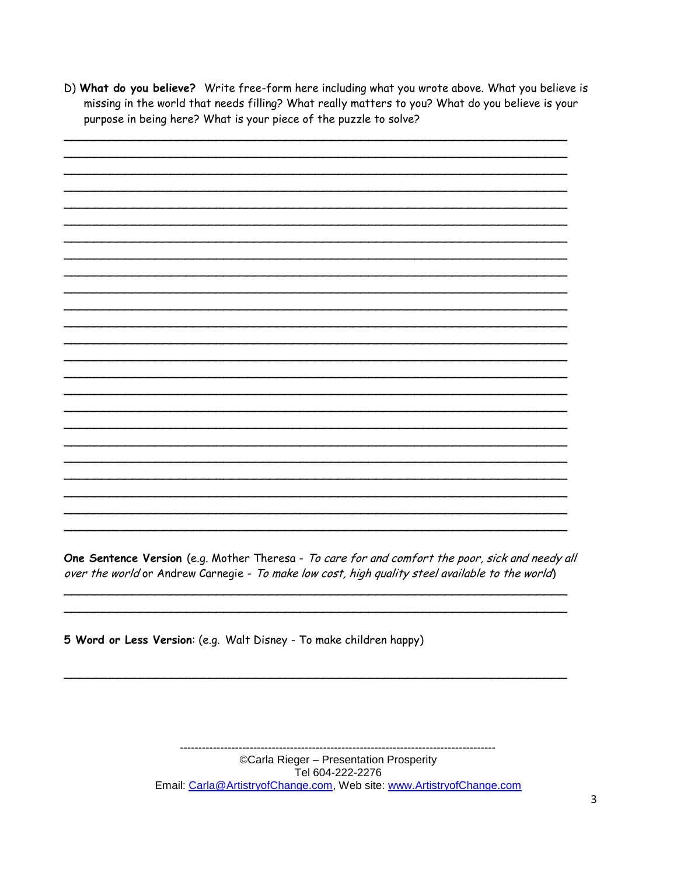D) What do you believe? Write free-form here including what you wrote above. What you believe is missing in the world that needs filling? What really matters to you? What do you believe is your purpose in being here? What is your piece of the puzzle to solve?

One Sentence Version (e.g. Mother Theresa - To care for and comfort the poor, sick and needy all over the world or Andrew Carnegie - To make low cost, high quality steel available to the world)

5 Word or Less Version: (e.g. Walt Disney - To make children happy)

©Carla Rieger - Presentation Prosperity Tel 604-222-2276 Email: Carla@ArtistryofChange.com, Web site: www.ArtistryofChange.com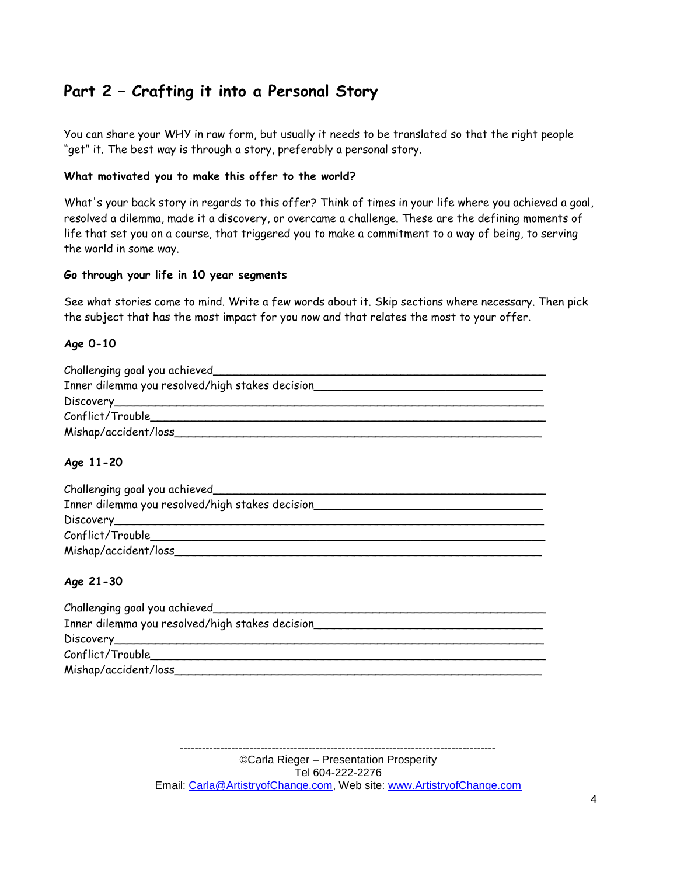# **Part 2 – Crafting it into a Personal Story**

You can share your WHY in raw form, but usually it needs to be translated so that the right people "get" it. The best way is through a story, preferably a personal story.

#### **What motivated you to make this offer to the world?**

What's your back story in regards to this offer? Think of times in your life where you achieved a goal, resolved a dilemma, made it a discovery, or overcame a challenge. These are the defining moments of life that set you on a course, that triggered you to make a commitment to a way of being, to serving the world in some way.

#### **Go through your life in 10 year segments**

See what stories come to mind. Write a few words about it. Skip sections where necessary. Then pick the subject that has the most impact for you now and that relates the most to your offer.

### **Age 0-10**

| Challenging goal you achieved                                                                                                                                                                                                        |
|--------------------------------------------------------------------------------------------------------------------------------------------------------------------------------------------------------------------------------------|
| Inner dilemma you resolved/high stakes decision                                                                                                                                                                                      |
| Discovery <b>Contract Contract Contract Contract Contract Contract Contract Contract Contract Contract Contract Contract Contract Contract Contract Contract Contract Contract Contract Contract Contract Contract Contract Cont</b> |
| Conflict/Trouble                                                                                                                                                                                                                     |
| Mishap/accident/loss_                                                                                                                                                                                                                |

### **Age 11-20**

| Challenging goal you achieved_                  |
|-------------------------------------------------|
| Inner dilemma you resolved/high stakes decision |
| Discovery______________________                 |
| Conflict/Trouble_                               |
| Mishap/accident/loss                            |

### **Age 21-30**

| Challenging goal you achieved_                  |
|-------------------------------------------------|
| Inner dilemma you resolved/high stakes decision |
|                                                 |
| Conflict/Trouble                                |
| Mishap/accident/loss                            |

©Carla Rieger – Presentation Prosperity Tel 604-222-2276 Email: Carla@ArtistryofChange.com, Web site: www.ArtistryofChange.com

--------------------------------------------------------------------------------------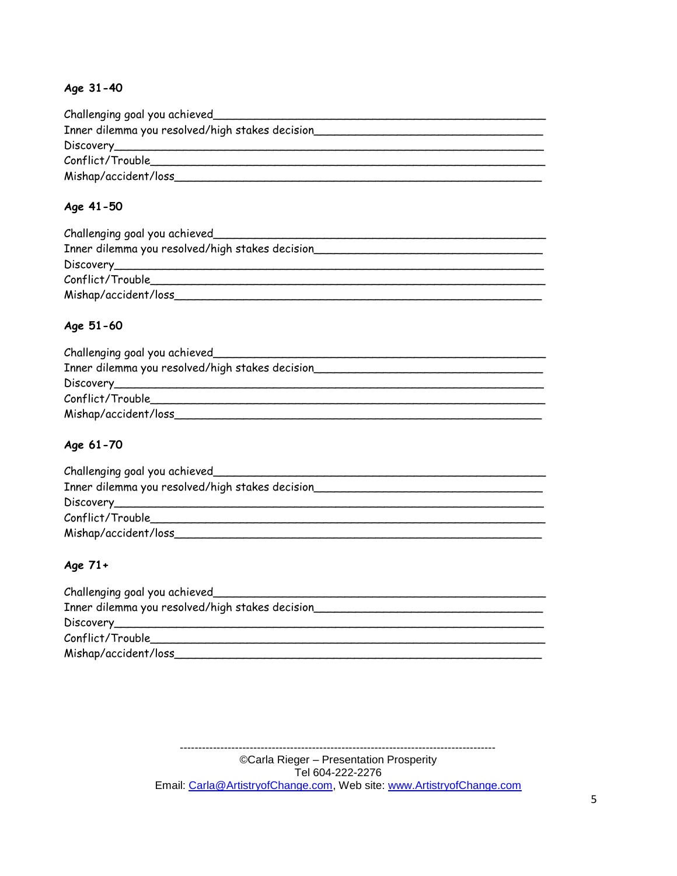# **Age 31-40**

| Challenging goal you achieved                   |  |  |  |
|-------------------------------------------------|--|--|--|
| Inner dilemma you resolved/high stakes decision |  |  |  |
| Discovery <b>Example 2014</b>                   |  |  |  |
| Conflict/Trouble                                |  |  |  |
| Mishap/accident/loss_                           |  |  |  |

## **Age 41-50**

| Challenging goal you achieved                   |
|-------------------------------------------------|
| Inner dilemma you resolved/high stakes decision |
| Discovery <b>Example 2014</b>                   |
| Conflict/Trouble                                |
| Mishap/accident/loss                            |

## **Age 51-60**

| Challenging goal you achieved                   |
|-------------------------------------------------|
| Inner dilemma you resolved/high stakes decision |
|                                                 |
| Conflict/Trouble                                |
| Mishap/accident/loss                            |

## **Age 61-70**

| Challenging goal you achieved                   |
|-------------------------------------------------|
| Inner dilemma you resolved/high stakes decision |
|                                                 |
| Conflict/Trouble                                |
| Mishap/accident/loss_                           |

# **Age 71+**

| Challenging goal you achieved                   |  |  |  |
|-------------------------------------------------|--|--|--|
| Inner dilemma you resolved/high stakes decision |  |  |  |
|                                                 |  |  |  |
| Conflict/Trouble                                |  |  |  |
| Mishap/accident/loss                            |  |  |  |

©Carla Rieger – Presentation Prosperity Tel 604-222-2276 Email: Carla@ArtistryofChange.com, Web site: www.ArtistryofChange.com

--------------------------------------------------------------------------------------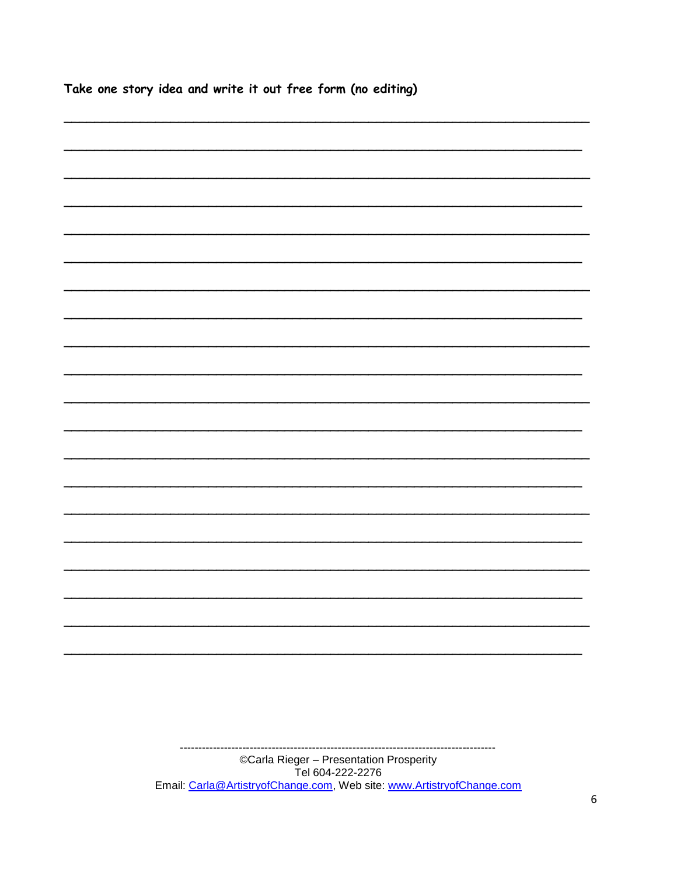|  |  | Take one story idea and write it out free form (no editing) |  |  |
|--|--|-------------------------------------------------------------|--|--|
|  |  |                                                             |  |  |
|  |  |                                                             |  |  |
|  |  |                                                             |  |  |
|  |  |                                                             |  |  |
|  |  |                                                             |  |  |
|  |  |                                                             |  |  |
|  |  |                                                             |  |  |
|  |  |                                                             |  |  |
|  |  |                                                             |  |  |
|  |  |                                                             |  |  |
|  |  |                                                             |  |  |
|  |  |                                                             |  |  |
|  |  |                                                             |  |  |
|  |  |                                                             |  |  |
|  |  |                                                             |  |  |
|  |  |                                                             |  |  |
|  |  |                                                             |  |  |
|  |  |                                                             |  |  |

©Carla Rieger – Presentation Prosperity<br>Tel 604-222-2276<br>Email: Carla@ArtistryofChange.com, Web site: www.ArtistryofChange.com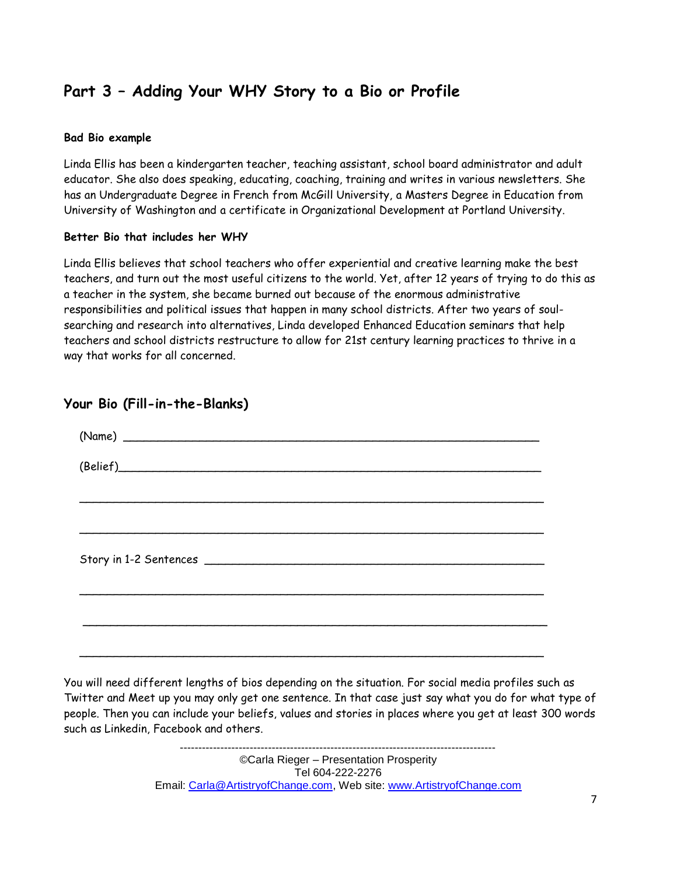# **Part 3 – Adding Your WHY Story to a Bio or Profile**

#### **Bad Bio example**

Linda Ellis has been a kindergarten teacher, teaching assistant, school board administrator and adult educator. She also does speaking, educating, coaching, training and writes in various newsletters. She has an Undergraduate Degree in French from McGill University, a Masters Degree in Education from University of Washington and a certificate in Organizational Development at Portland University.

#### **Better Bio that includes her WHY**

Linda Ellis believes that school teachers who offer experiential and creative learning make the best teachers, and turn out the most useful citizens to the world. Yet, after 12 years of trying to do this as a teacher in the system, she became burned out because of the enormous administrative responsibilities and political issues that happen in many school districts. After two years of soulsearching and research into alternatives, Linda developed Enhanced Education seminars that help teachers and school districts restructure to allow for 21st century learning practices to thrive in a way that works for all concerned.

| (Belief) |  |  |  |  |
|----------|--|--|--|--|
|          |  |  |  |  |
|          |  |  |  |  |
|          |  |  |  |  |
|          |  |  |  |  |
|          |  |  |  |  |
|          |  |  |  |  |

# **Your Bio (Fill-in-the-Blanks)**

You will need different lengths of bios depending on the situation. For social media profiles such as Twitter and Meet up you may only get one sentence. In that case just say what you do for what type of people. Then you can include your beliefs, values and stories in places where you get at least 300 words such as Linkedin, Facebook and others.

> ©Carla Rieger – Presentation Prosperity Tel 604-222-2276 Email: Carla@ArtistryofChange.com, Web site: www.ArtistryofChange.com

 $-$